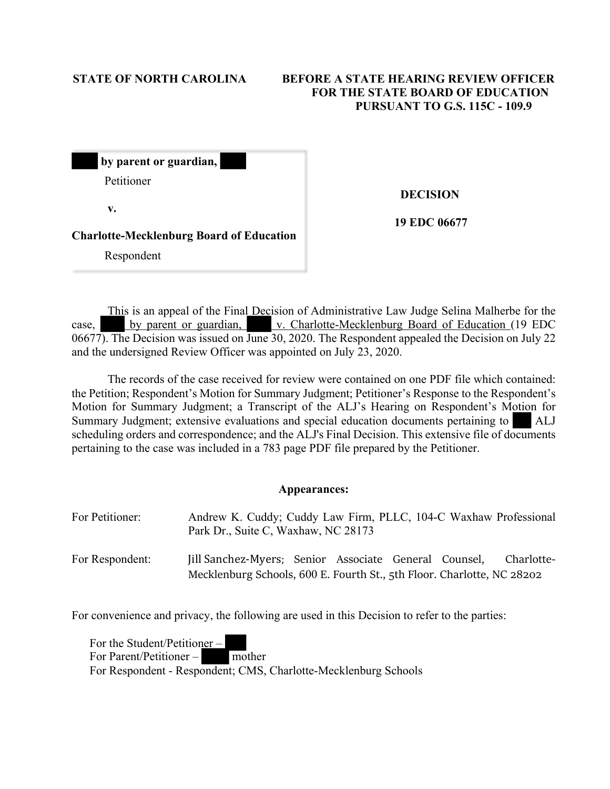Respondent

# **STATE OF NORTH CAROLINA BEFORE A STATE HEARING REVIEW OFFICER FOR THE STATE BOARD OF EDUCATION PURSUANT TO G.S. 115C - 109.9**

| by parent or guardian,                          |
|-------------------------------------------------|
| Petitioner                                      |
| v.                                              |
| <b>Charlotte-Mecklenburg Board of Education</b> |

 **DECISION** 

**19 EDC 06677**

This is an appeal of the Final Decision of Administrative Law Judge Selina Malherbe for the case, by parent or guardian, v. Charlotte-Mecklenburg Board of Education (19 EDC) 06677). The Decision was issued on June 30, 2020. The Respondent appealed the Decision on July 22 and the undersigned Review Officer was appointed on July 23, 2020.

The records of the case received for review were contained on one PDF file which contained: the Petition; Respondent's Motion for Summary Judgment; Petitioner's Response to the Respondent's Motion for Summary Judgment; a Transcript of the ALJ's Hearing on Respondent's Motion for Summary Judgment; extensive evaluations and special education documents pertaining to ALJ scheduling orders and correspondence; and the ALJ's Final Decision. This extensive file of documents pertaining to the case was included in a 783 page PDF file prepared by the Petitioner.

# **Appearances:**

| For Petitioner: | Andrew K. Cuddy; Cuddy Law Firm, PLLC, 104-C Waxhaw Professional<br>Park Dr., Suite C, Waxhaw, NC 28173                         |  |  |            |
|-----------------|---------------------------------------------------------------------------------------------------------------------------------|--|--|------------|
| For Respondent: | Jill Sanchez-Myers; Senior Associate General Counsel,<br>Mecklenburg Schools, 600 E. Fourth St., 5th Floor. Charlotte, NC 28202 |  |  | Charlotte- |

For convenience and privacy, the following are used in this Decision to refer to the parties:

For the Student/Petitioner – For Parent/Petitioner – mother For Respondent - Respondent; CMS, Charlotte-Mecklenburg Schools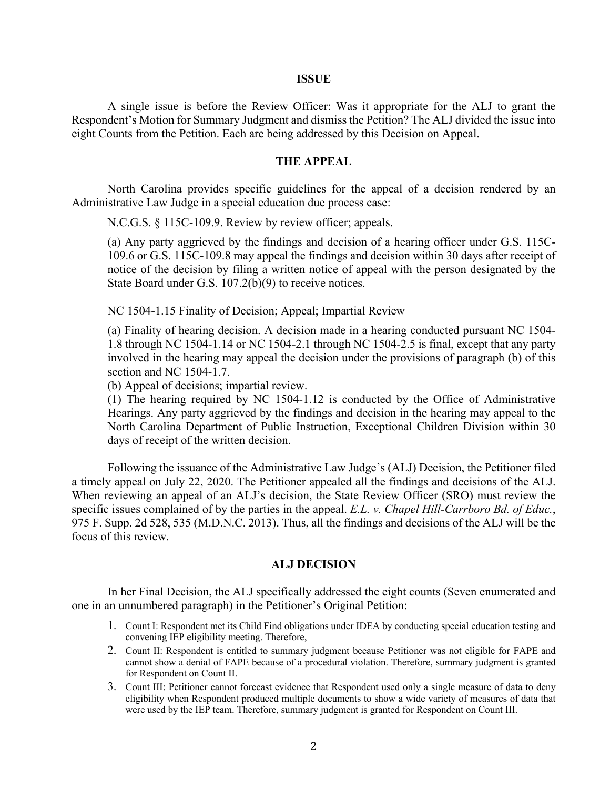#### **ISSUE**

A single issue is before the Review Officer: Was it appropriate for the ALJ to grant the Respondent's Motion for Summary Judgment and dismiss the Petition? The ALJ divided the issue into eight Counts from the Petition. Each are being addressed by this Decision on Appeal.

## **THE APPEAL**

North Carolina provides specific guidelines for the appeal of a decision rendered by an Administrative Law Judge in a special education due process case:

N.C.G.S. § 115C-109.9. Review by review officer; appeals.

(a) Any party aggrieved by the findings and decision of a hearing officer under G.S. 115C-109.6 or G.S. 115C-109.8 may appeal the findings and decision within 30 days after receipt of notice of the decision by filing a written notice of appeal with the person designated by the State Board under G.S. 107.2(b)(9) to receive notices.

NC 1504-1.15 Finality of Decision; Appeal; Impartial Review

(a) Finality of hearing decision. A decision made in a hearing conducted pursuant NC 1504- 1.8 through NC 1504-1.14 or NC 1504-2.1 through NC 1504-2.5 is final, except that any party involved in the hearing may appeal the decision under the provisions of paragraph (b) of this section and NC 1504-1.7.

(b) Appeal of decisions; impartial review.

(1) The hearing required by NC 1504-1.12 is conducted by the Office of Administrative Hearings. Any party aggrieved by the findings and decision in the hearing may appeal to the North Carolina Department of Public Instruction, Exceptional Children Division within 30 days of receipt of the written decision.

Following the issuance of the Administrative Law Judge's (ALJ) Decision, the Petitioner filed a timely appeal on July 22, 2020. The Petitioner appealed all the findings and decisions of the ALJ. When reviewing an appeal of an ALJ's decision, the State Review Officer (SRO) must review the specific issues complained of by the parties in the appeal. *E.L. v. Chapel Hill-Carrboro Bd. of Educ.*, 975 F. Supp. 2d 528, 535 (M.D.N.C. 2013). Thus, all the findings and decisions of the ALJ will be the focus of this review.

# **ALJ DECISION**

In her Final Decision, the ALJ specifically addressed the eight counts (Seven enumerated and one in an unnumbered paragraph) in the Petitioner's Original Petition:

- 1. Count I: Respondent met its Child Find obligations under IDEA by conducting special education testing and convening IEP eligibility meeting. Therefore,
- 2. Count II: Respondent is entitled to summary judgment because Petitioner was not eligible for FAPE and cannot show a denial of FAPE because of a procedural violation. Therefore, summary judgment is granted for Respondent on Count II.
- 3. Count III: Petitioner cannot forecast evidence that Respondent used only a single measure of data to deny eligibility when Respondent produced multiple documents to show a wide variety of measures of data that were used by the IEP team. Therefore, summary judgment is granted for Respondent on Count III.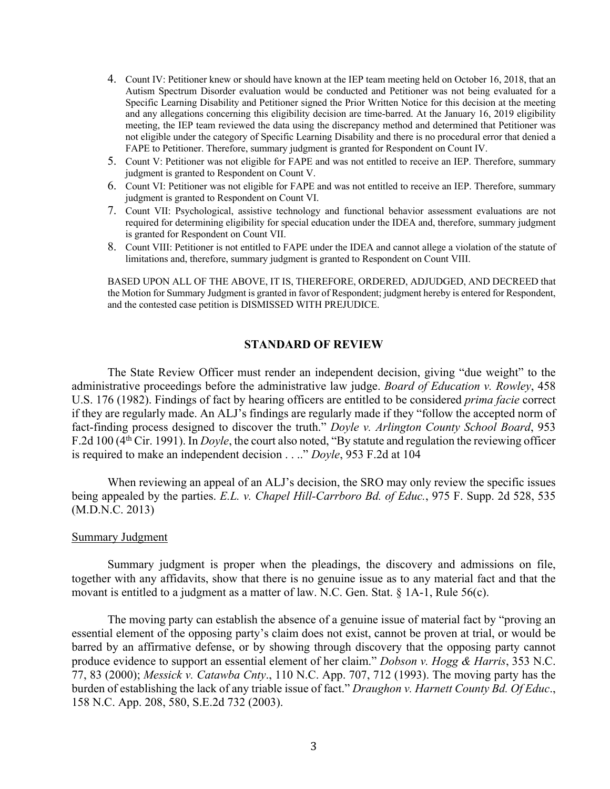- 4. Count IV: Petitioner knew or should have known at the IEP team meeting held on October 16, 2018, that an Autism Spectrum Disorder evaluation would be conducted and Petitioner was not being evaluated for a Specific Learning Disability and Petitioner signed the Prior Written Notice for this decision at the meeting and any allegations concerning this eligibility decision are time-barred. At the January 16, 2019 eligibility meeting, the IEP team reviewed the data using the discrepancy method and determined that Petitioner was not eligible under the category of Specific Learning Disability and there is no procedural error that denied a FAPE to Petitioner. Therefore, summary judgment is granted for Respondent on Count IV.
- 5. Count V: Petitioner was not eligible for FAPE and was not entitled to receive an IEP. Therefore, summary judgment is granted to Respondent on Count V.
- 6. Count VI: Petitioner was not eligible for FAPE and was not entitled to receive an IEP. Therefore, summary judgment is granted to Respondent on Count VI.
- 7. Count VII: Psychological, assistive technology and functional behavior assessment evaluations are not required for determining eligibility for special education under the IDEA and, therefore, summary judgment is granted for Respondent on Count VII.
- 8. Count VIII: Petitioner is not entitled to FAPE under the IDEA and cannot allege a violation of the statute of limitations and, therefore, summary judgment is granted to Respondent on Count VIII.

BASED UPON ALL OF THE ABOVE, IT IS, THEREFORE, ORDERED, ADJUDGED, AND DECREED that the Motion for Summary Judgment is granted in favor of Respondent; judgment hereby is entered for Respondent, and the contested case petition is DISMISSED WITH PREJUDICE.

# **STANDARD OF REVIEW**

The State Review Officer must render an independent decision, giving "due weight" to the administrative proceedings before the administrative law judge. *Board of Education v. Rowley*, 458 U.S. 176 (1982). Findings of fact by hearing officers are entitled to be considered *prima facie* correct if they are regularly made. An ALJ's findings are regularly made if they "follow the accepted norm of fact-finding process designed to discover the truth." *Doyle v. Arlington County School Board*, 953 F.2d 100 (4th Cir. 1991). In *Doyle*, the court also noted, "By statute and regulation the reviewing officer is required to make an independent decision . . .." *Doyle*, 953 F.2d at 104

When reviewing an appeal of an ALJ's decision, the SRO may only review the specific issues being appealed by the parties. *E.L. v. Chapel Hill-Carrboro Bd. of Educ.*, 975 F. Supp. 2d 528, 535 (M.D.N.C. 2013)

## Summary Judgment

Summary judgment is proper when the pleadings, the discovery and admissions on file, together with any affidavits, show that there is no genuine issue as to any material fact and that the movant is entitled to a judgment as a matter of law. N.C. Gen. Stat. § 1A-1, Rule 56(c).

The moving party can establish the absence of a genuine issue of material fact by "proving an essential element of the opposing party's claim does not exist, cannot be proven at trial, or would be barred by an affirmative defense, or by showing through discovery that the opposing party cannot produce evidence to support an essential element of her claim." *Dobson v. Hogg & Harris*, 353 N.C. 77, 83 (2000); *Messick v. Catawba Cnty*., 110 N.C. App. 707, 712 (1993). The moving party has the burden of establishing the lack of any triable issue of fact." *Draughon v. Harnett County Bd. Of Educ*., 158 N.C. App. 208, 580, S.E.2d 732 (2003).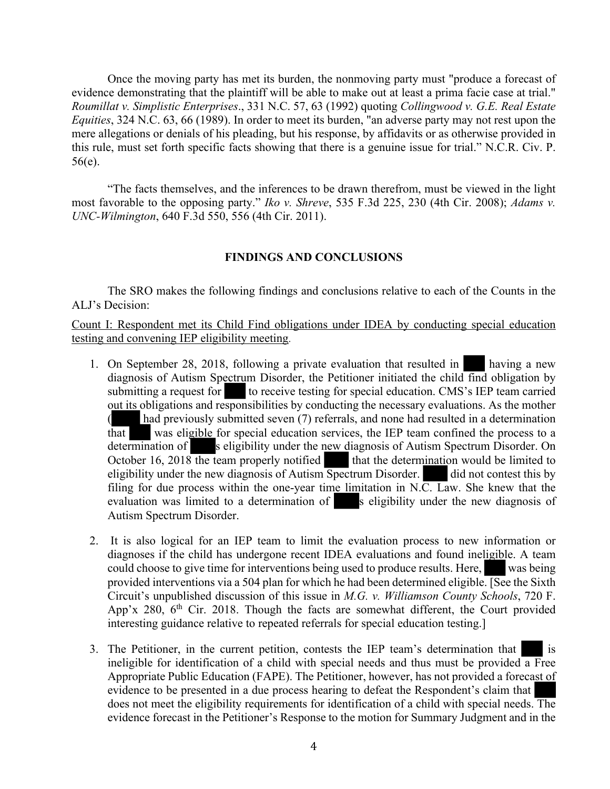Once the moving party has met its burden, the nonmoving party must "produce a forecast of evidence demonstrating that the plaintiff will be able to make out at least a prima facie case at trial." *Roumillat v. Simplistic Enterprises*., 331 N.C. 57, 63 (1992) quoting *Collingwood v. G.E. Real Estate Equities*, 324 N.C. 63, 66 (1989). In order to meet its burden, "an adverse party may not rest upon the mere allegations or denials of his pleading, but his response, by affidavits or as otherwise provided in this rule, must set forth specific facts showing that there is a genuine issue for trial." N.C.R. Civ. P. 56(e).

"The facts themselves, and the inferences to be drawn therefrom, must be viewed in the light most favorable to the opposing party." *Iko v. Shreve*, 535 F.3d 225, 230 (4th Cir. 2008); *Adams v. UNC-Wilmington*, 640 F.3d 550, 556 (4th Cir. 2011).

# **FINDINGS AND CONCLUSIONS**

The SRO makes the following findings and conclusions relative to each of the Counts in the ALJ's Decision:

Count I: Respondent met its Child Find obligations under IDEA by conducting special education testing and convening IEP eligibility meeting.

- 1. On September 28, 2018, following a private evaluation that resulted in having a new diagnosis of Autism Spectrum Disorder, the Petitioner initiated the child find obligation by submitting a request for to receive testing for special education. CMS's IEP team carried out its obligations and responsibilities by conducting the necessary evaluations. As the mother ( had previously submitted seven (7) referrals, and none had resulted in a determination that was eligible for special education services, the IEP team confined the process to a determination of s eligibility under the new diagnosis of Autism Spectrum Disorder. On October  $16$ ,  $2018$  the team properly notified that the determination would be limited to eligibility under the new diagnosis of Autism Spectrum Disorder. did not contest this by filing for due process within the one-year time limitation in N.C. Law. She knew that the evaluation was limited to a determination of s eligibility under the new diagnosis of Autism Spectrum Disorder.
- 2. It is also logical for an IEP team to limit the evaluation process to new information or diagnoses if the child has undergone recent IDEA evaluations and found ineligible. A team could choose to give time for interventions being used to produce results. Here, was being provided interventions via a 504 plan for which he had been determined eligible. [See the Sixth Circuit's unpublished discussion of this issue in *M.G. v. Williamson County Schools*, 720 F. App'x 280,  $6<sup>th</sup>$  Cir. 2018. Though the facts are somewhat different, the Court provided interesting guidance relative to repeated referrals for special education testing.]
- 3. The Petitioner, in the current petition, contests the IEP team's determination that is ineligible for identification of a child with special needs and thus must be provided  $\overline{a}$  Free Appropriate Public Education (FAPE). The Petitioner, however, has not provided a forecast of evidence to be presented in a due process hearing to defeat the Respondent's claim that does not meet the eligibility requirements for identification of a child with special needs. The evidence forecast in the Petitioner's Response to the motion for Summary Judgment and in the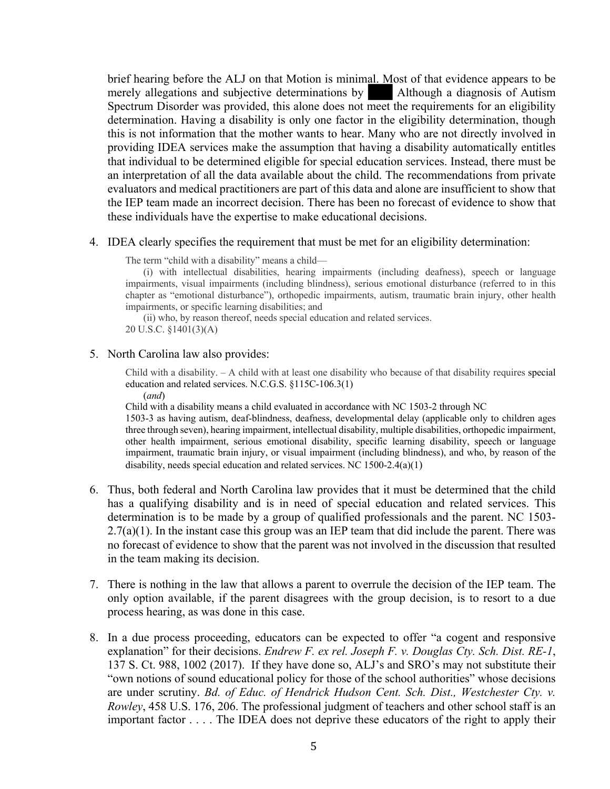brief hearing before the ALJ on that Motion is minimal. Most of that evidence appears to be merely allegations and subjective determinations by Although a diagnosis of Autism Spectrum Disorder was provided, this alone does not meet the requirements for an eligibility determination. Having a disability is only one factor in the eligibility determination, though this is not information that the mother wants to hear. Many who are not directly involved in providing IDEA services make the assumption that having a disability automatically entitles that individual to be determined eligible for special education services. Instead, there must be an interpretation of all the data available about the child. The recommendations from private evaluators and medical practitioners are part of this data and alone are insufficient to show that the IEP team made an incorrect decision. There has been no forecast of evidence to show that these individuals have the expertise to make educational decisions.

#### 4. IDEA clearly specifies the requirement that must be met for an eligibility determination:

The term "child with a disability" means a child—

(i) with intellectual disabilities, hearing impairments (including deafness), speech or language impairments, visual impairments (including blindness), serious emotional disturbance (referred to in this chapter as "emotional disturbance"), orthopedic impairments, autism, traumatic brain injury, other health impairments, or specific learning disabilities; and

(ii) who, by reason thereof, needs special education and related services. 20 U.S.C. §1401(3)(A)

## 5. North Carolina law also provides:

Child with a disability. – A child with at least one disability who because of that disability requires special education and related services. N.C.G.S. §115C-106.3(1)

(*and*)

Child with a disability means a child evaluated in accordance with NC 1503-2 through NC

1503-3 as having autism, deaf-blindness, deafness, developmental delay (applicable only to children ages three through seven), hearing impairment, intellectual disability, multiple disabilities, orthopedic impairment, other health impairment, serious emotional disability, specific learning disability, speech or language impairment, traumatic brain injury, or visual impairment (including blindness), and who, by reason of the disability, needs special education and related services. NC 1500-2.4(a)(1)

- 6. Thus, both federal and North Carolina law provides that it must be determined that the child has a qualifying disability and is in need of special education and related services. This determination is to be made by a group of qualified professionals and the parent. NC 1503-  $2.7(a)(1)$ . In the instant case this group was an IEP team that did include the parent. There was no forecast of evidence to show that the parent was not involved in the discussion that resulted in the team making its decision.
- 7. There is nothing in the law that allows a parent to overrule the decision of the IEP team. The only option available, if the parent disagrees with the group decision, is to resort to a due process hearing, as was done in this case.
- 8. In a due process proceeding, educators can be expected to offer "a cogent and responsive explanation" for their decisions. *Endrew F. ex rel. Joseph F. v. Douglas Cty. Sch. Dist. RE-1*, 137 S. Ct. 988, 1002 (2017). If they have done so, ALJ's and SRO's may not substitute their "own notions of sound educational policy for those of the school authorities" whose decisions are under scrutiny. *Bd. of Educ. of Hendrick Hudson Cent. Sch. Dist., Westchester Cty. v. Rowley*, 458 U.S. 176, 206. The professional judgment of teachers and other school staff is an important factor . . . . The IDEA does not deprive these educators of the right to apply their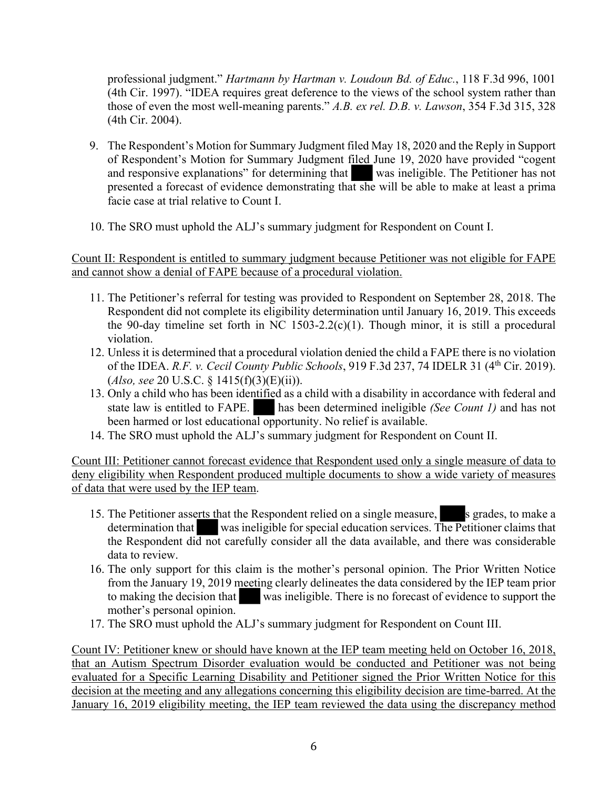professional judgment." *Hartmann by Hartman v. Loudoun Bd. of Educ.*, 118 F.3d 996, 1001 (4th Cir. 1997). "IDEA requires great deference to the views of the school system rather than those of even the most well-meaning parents." *A.B. ex rel. D.B. v. Lawson*, 354 F.3d 315, 328 (4th Cir. 2004).

- 9. The Respondent's Motion for Summary Judgment filed May 18, 2020 and the Reply in Support of Respondent's Motion for Summary Judgment filed June 19, 2020 have provided "cogent and responsive explanations" for determining that was ineligible. The Petitioner has not presented a forecast of evidence demonstrating that she will be able to make at least a prima facie case at trial relative to Count I.
- 10. The SRO must uphold the ALJ's summary judgment for Respondent on Count I.

Count II: Respondent is entitled to summary judgment because Petitioner was not eligible for FAPE and cannot show a denial of FAPE because of a procedural violation.

- 11. The Petitioner's referral for testing was provided to Respondent on September 28, 2018. The Respondent did not complete its eligibility determination until January 16, 2019. This exceeds the 90-day timeline set forth in NC 1503-2.2(c)(1). Though minor, it is still a procedural violation.
- 12. Unless it is determined that a procedural violation denied the child a FAPE there is no violation of the IDEA. *R.F. v. Cecil County Public Schools*, 919 F.3d 237, 74 IDELR 31 (4th Cir. 2019). (*Also, see* 20 U.S.C. § 1415(f)(3)(E)(ii)).
- 13. Only a child who has been identified as a child with a disability in accordance with federal and state law is entitled to FAPE. has been determined ineligible *(See Count 1)* and has not been harmed or lost educational opportunity. No relief is available.
- 14. The SRO must uphold the ALJ's summary judgment for Respondent on Count II.

Count III: Petitioner cannot forecast evidence that Respondent used only a single measure of data to deny eligibility when Respondent produced multiple documents to show a wide variety of measures of data that were used by the IEP team.

- 15. The Petitioner asserts that the Respondent relied on a single measure, s grades, to make a determination that was ineligible for special education services. The Petitioner claims that the Respondent did not carefully consider all the data available, and there was considerable data to review.
- 16. The only support for this claim is the mother's personal opinion. The Prior Written Notice from the January 19, 2019 meeting clearly delineates the data considered by the IEP team prior to making the decision that was ineligible. There is no forecast of evidence to support the mother's personal opinion.
- 17. The SRO must uphold the ALJ's summary judgment for Respondent on Count III.

Count IV: Petitioner knew or should have known at the IEP team meeting held on October 16, 2018, that an Autism Spectrum Disorder evaluation would be conducted and Petitioner was not being evaluated for a Specific Learning Disability and Petitioner signed the Prior Written Notice for this decision at the meeting and any allegations concerning this eligibility decision are time-barred. At the January 16, 2019 eligibility meeting, the IEP team reviewed the data using the discrepancy method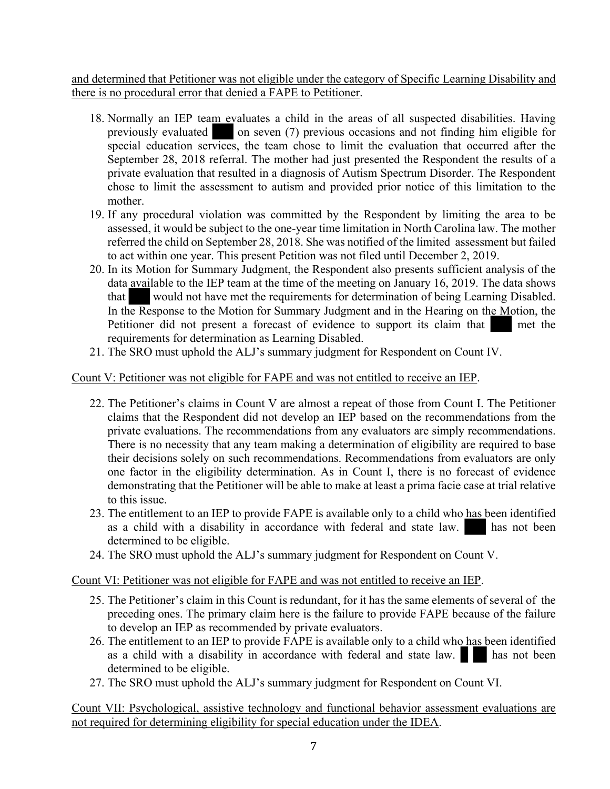and determined that Petitioner was not eligible under the category of Specific Learning Disability and there is no procedural error that denied a FAPE to Petitioner.

- 18. Normally an IEP team evaluates a child in the areas of all suspected disabilities. Having previously evaluated on seven (7) previous occasions and not finding him eligible for special education services, the team chose to limit the evaluation that occurred after the September 28, 2018 referral. The mother had just presented the Respondent the results of a private evaluation that resulted in a diagnosis of Autism Spectrum Disorder. The Respondent chose to limit the assessment to autism and provided prior notice of this limitation to the mother.
- 19. If any procedural violation was committed by the Respondent by limiting the area to be assessed, it would be subject to the one-year time limitation in North Carolina law. The mother referred the child on September 28, 2018. She was notified of the limited assessment but failed to act within one year. This present Petition was not filed until December 2, 2019.
- 20. In its Motion for Summary Judgment, the Respondent also presents sufficient analysis of the data available to the IEP team at the time of the meeting on January 16, 2019. The data shows that would not have met the requirements for determination of being Learning Disabled. In the Response to the Motion for Summary Judgment and in the Hearing on the Motion, the Petitioner did not present a forecast of evidence to support its claim that met the requirements for determination as Learning Disabled.
- 21. The SRO must uphold the ALJ's summary judgment for Respondent on Count IV.

# Count V: Petitioner was not eligible for FAPE and was not entitled to receive an IEP.

- 22. The Petitioner's claims in Count V are almost a repeat of those from Count I. The Petitioner claims that the Respondent did not develop an IEP based on the recommendations from the private evaluations. The recommendations from any evaluators are simply recommendations. There is no necessity that any team making a determination of eligibility are required to base their decisions solely on such recommendations. Recommendations from evaluators are only one factor in the eligibility determination. As in Count I, there is no forecast of evidence demonstrating that the Petitioner will be able to make at least a prima facie case at trial relative to this issue.
- 23. The entitlement to an IEP to provide FAPE is available only to a child who has been identified as a child with a disability in accordance with federal and state law. has not been determined to be eligible.
- 24. The SRO must uphold the ALJ's summary judgment for Respondent on Count V.

# Count VI: Petitioner was not eligible for FAPE and was not entitled to receive an IEP.

- 25. The Petitioner's claim in this Count is redundant, for it has the same elements of several of the preceding ones. The primary claim here is the failure to provide FAPE because of the failure to develop an IEP as recommended by private evaluators.
- 26. The entitlement to an IEP to provide FAPE is available only to a child who has been identified as a child with a disability in accordance with federal and state law.  $\blacksquare$  has not been determined to be eligible.
- 27. The SRO must uphold the ALJ's summary judgment for Respondent on Count VI.

Count VII: Psychological, assistive technology and functional behavior assessment evaluations are not required for determining eligibility for special education under the IDEA.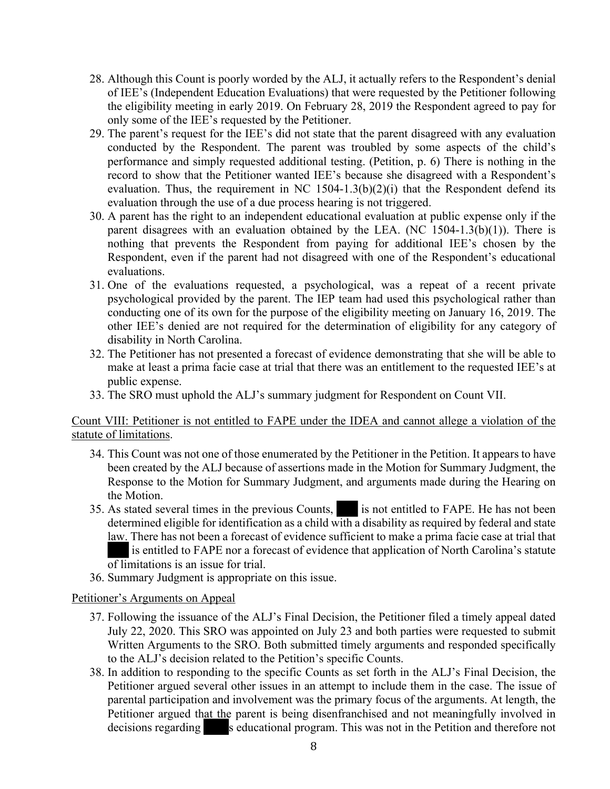- 28. Although this Count is poorly worded by the ALJ, it actually refers to the Respondent's denial of IEE's (Independent Education Evaluations) that were requested by the Petitioner following the eligibility meeting in early 2019. On February 28, 2019 the Respondent agreed to pay for only some of the IEE's requested by the Petitioner.
- 29. The parent's request for the IEE's did not state that the parent disagreed with any evaluation conducted by the Respondent. The parent was troubled by some aspects of the child's performance and simply requested additional testing. (Petition, p. 6) There is nothing in the record to show that the Petitioner wanted IEE's because she disagreed with a Respondent's evaluation. Thus, the requirement in NC  $1504-1.3(b)(2)(i)$  that the Respondent defend its evaluation through the use of a due process hearing is not triggered.
- 30. A parent has the right to an independent educational evaluation at public expense only if the parent disagrees with an evaluation obtained by the LEA. (NC  $1504-1.3(b)(1)$ ). There is nothing that prevents the Respondent from paying for additional IEE's chosen by the Respondent, even if the parent had not disagreed with one of the Respondent's educational evaluations.
- 31. One of the evaluations requested, a psychological, was a repeat of a recent private psychological provided by the parent. The IEP team had used this psychological rather than conducting one of its own for the purpose of the eligibility meeting on January 16, 2019. The other IEE's denied are not required for the determination of eligibility for any category of disability in North Carolina.
- 32. The Petitioner has not presented a forecast of evidence demonstrating that she will be able to make at least a prima facie case at trial that there was an entitlement to the requested IEE's at public expense.
- 33. The SRO must uphold the ALJ's summary judgment for Respondent on Count VII.

Count VIII: Petitioner is not entitled to FAPE under the IDEA and cannot allege a violation of the statute of limitations.

- 34. This Count was not one of those enumerated by the Petitioner in the Petition. It appears to have been created by the ALJ because of assertions made in the Motion for Summary Judgment, the Response to the Motion for Summary Judgment, and arguments made during the Hearing on the Motion.
- 35. As stated several times in the previous Counts, is not entitled to FAPE. He has not been determined eligible for identification as a child with a disability as required by federal and state law. There has not been a forecast of evidence sufficient to make a prima facie case at trial that is entitled to FAPE nor a forecast of evidence that application of North Carolina's statute of limitations is an issue for trial.
- 36. Summary Judgment is appropriate on this issue.

# Petitioner's Arguments on Appeal

- 37. Following the issuance of the ALJ's Final Decision, the Petitioner filed a timely appeal dated July 22, 2020. This SRO was appointed on July 23 and both parties were requested to submit Written Arguments to the SRO. Both submitted timely arguments and responded specifically to the ALJ's decision related to the Petition's specific Counts.
- 38. In addition to responding to the specific Counts as set forth in the ALJ's Final Decision, the Petitioner argued several other issues in an attempt to include them in the case. The issue of parental participation and involvement was the primary focus of the arguments. At length, the Petitioner argued that the parent is being disenfranchised and not meaningfully involved in decisions regarding seducational program. This was not in the Petition and therefore not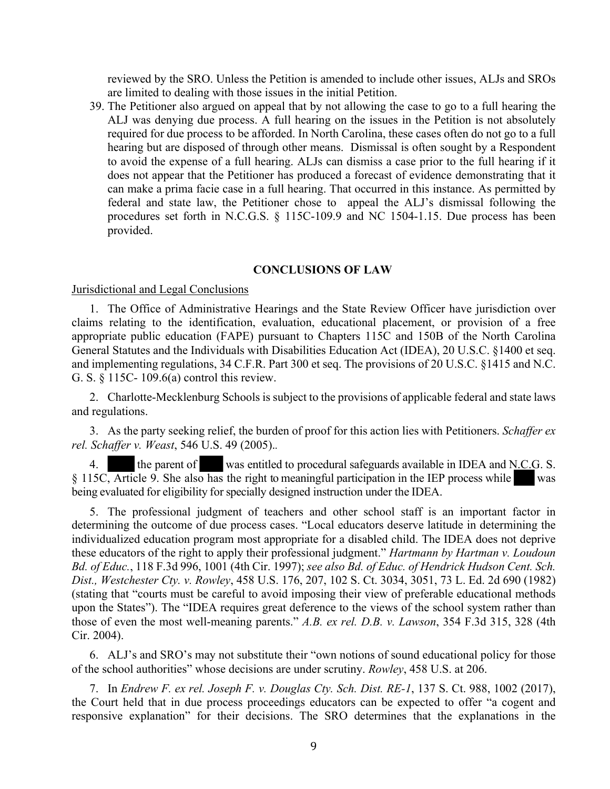reviewed by the SRO. Unless the Petition is amended to include other issues, ALJs and SROs are limited to dealing with those issues in the initial Petition.

39. The Petitioner also argued on appeal that by not allowing the case to go to a full hearing the ALJ was denying due process. A full hearing on the issues in the Petition is not absolutely required for due process to be afforded. In North Carolina, these cases often do not go to a full hearing but are disposed of through other means. Dismissal is often sought by a Respondent to avoid the expense of a full hearing. ALJs can dismiss a case prior to the full hearing if it does not appear that the Petitioner has produced a forecast of evidence demonstrating that it can make a prima facie case in a full hearing. That occurred in this instance. As permitted by federal and state law, the Petitioner chose to appeal the ALJ's dismissal following the procedures set forth in N.C.G.S. § 115C-109.9 and NC 1504-1.15. Due process has been provided.

### **CONCLUSIONS OF LAW**

Jurisdictional and Legal Conclusions

1. The Office of Administrative Hearings and the State Review Officer have jurisdiction over claims relating to the identification, evaluation, educational placement, or provision of a free appropriate public education (FAPE) pursuant to Chapters 115C and 150B of the North Carolina General Statutes and the Individuals with Disabilities Education Act (IDEA), 20 U.S.C. §1400 et seq. and implementing regulations, 34 C.F.R. Part 300 et seq. The provisions of 20 U.S.C. §1415 and N.C. G. S. § 115C- 109.6(a) control this review.

2. Charlotte-Mecklenburg Schools is subject to the provisions of applicable federal and state laws and regulations.

3. As the party seeking relief, the burden of proof for this action lies with Petitioners. *Schaffer ex rel. Schaffer v. Weast*, 546 U.S. 49 (2005).*.*

4. the parent of was entitled to procedural safeguards available in IDEA and N.C.G. S. § 115C, Article 9. She also has the right to meaningful participation in the IEP process while was being evaluated for eligibility for specially designed instruction under the IDEA.

5. The professional judgment of teachers and other school staff is an important factor in determining the outcome of due process cases. "Local educators deserve latitude in determining the individualized education program most appropriate for a disabled child. The IDEA does not deprive these educators of the right to apply their professional judgment." *Hartmann by Hartman v. Loudoun Bd. of Educ.*, 118 F.3d 996, 1001 (4th Cir. 1997); *see also Bd. of Educ. of Hendrick Hudson Cent. Sch. Dist., Westchester Cty. v. Rowley*, 458 U.S. 176, 207, 102 S. Ct. 3034, 3051, 73 L. Ed. 2d 690 (1982) (stating that "courts must be careful to avoid imposing their view of preferable educational methods upon the States"). The "IDEA requires great deference to the views of the school system rather than those of even the most well-meaning parents." *A.B. ex rel. D.B. v. Lawson*, 354 F.3d 315, 328 (4th Cir. 2004).

6. ALJ's and SRO's may not substitute their "own notions of sound educational policy for those of the school authorities" whose decisions are under scrutiny. *Rowley*, 458 U.S. at 206.

7. In *Endrew F. ex rel. Joseph F. v. Douglas Cty. Sch. Dist. RE-1*, 137 S. Ct. 988, 1002 (2017), the Court held that in due process proceedings educators can be expected to offer "a cogent and responsive explanation" for their decisions. The SRO determines that the explanations in the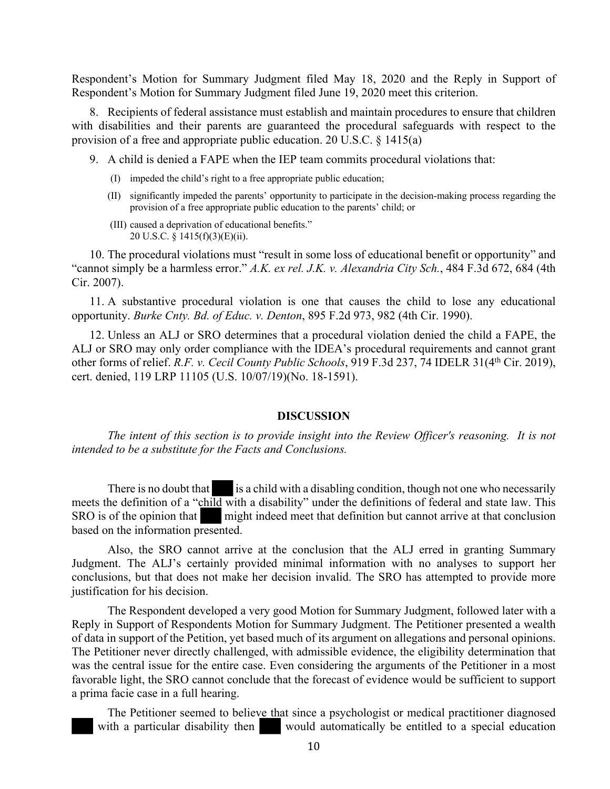Respondent's Motion for Summary Judgment filed May 18, 2020 and the Reply in Support of Respondent's Motion for Summary Judgment filed June 19, 2020 meet this criterion.

8. Recipients of federal assistance must establish and maintain procedures to ensure that children with disabilities and their parents are guaranteed the procedural safeguards with respect to the provision of a free and appropriate public education. 20 U.S.C. § 1415(a)

- 9. A child is denied a FAPE when the IEP team commits procedural violations that:
	- (I) impeded the child's right to a free appropriate public education;
	- (II) significantly impeded the parents' opportunity to participate in the decision-making process regarding the provision of a free appropriate public education to the parents' child; or
	- (III) caused a deprivation of educational benefits." 20 U.S.C. § 1415(f)(3)(E)(ii).

10. The procedural violations must "result in some loss of educational benefit or opportunity" and "cannot simply be a harmless error." *A.K. ex rel. J.K. v. Alexandria City Sch.*, 484 F.3d 672, 684 (4th Cir. 2007).

11. A substantive procedural violation is one that causes the child to lose any educational opportunity. *Burke Cnty. Bd. of Educ. v. Denton*, 895 F.2d 973, 982 (4th Cir. 1990).

12. Unless an ALJ or SRO determines that a procedural violation denied the child a FAPE, the ALJ or SRO may only order compliance with the IDEA's procedural requirements and cannot grant other forms of relief. *R.F. v. Cecil County Public Schools*, 919 F.3d 237, 74 IDELR 31(4<sup>th</sup> Cir. 2019), cert. denied, 119 LRP 11105 (U.S. 10/07/19)(No. 18-1591).

## **DISCUSSION**

*The intent of this section is to provide insight into the Review Officer's reasoning. It is not intended to be a substitute for the Facts and Conclusions.*

There is no doubt that is a child with a disabling condition, though not one who necessarily meets the definition of a "child with a disability" under the definitions of federal and state law. This SRO is of the opinion that might indeed meet that definition but cannot arrive at that conclusion based on the information presented.

Also, the SRO cannot arrive at the conclusion that the ALJ erred in granting Summary Judgment. The ALJ's certainly provided minimal information with no analyses to support her conclusions, but that does not make her decision invalid. The SRO has attempted to provide more justification for his decision.

The Respondent developed a very good Motion for Summary Judgment, followed later with a Reply in Support of Respondents Motion for Summary Judgment. The Petitioner presented a wealth of data in support of the Petition, yet based much of its argument on allegations and personal opinions. The Petitioner never directly challenged, with admissible evidence, the eligibility determination that was the central issue for the entire case. Even considering the arguments of the Petitioner in a most favorable light, the SRO cannot conclude that the forecast of evidence would be sufficient to support a prima facie case in a full hearing.

The Petitioner seemed to believe that since a psychologist or medical practitioner diagnosed with a particular disability then would automatically be entitled to a special education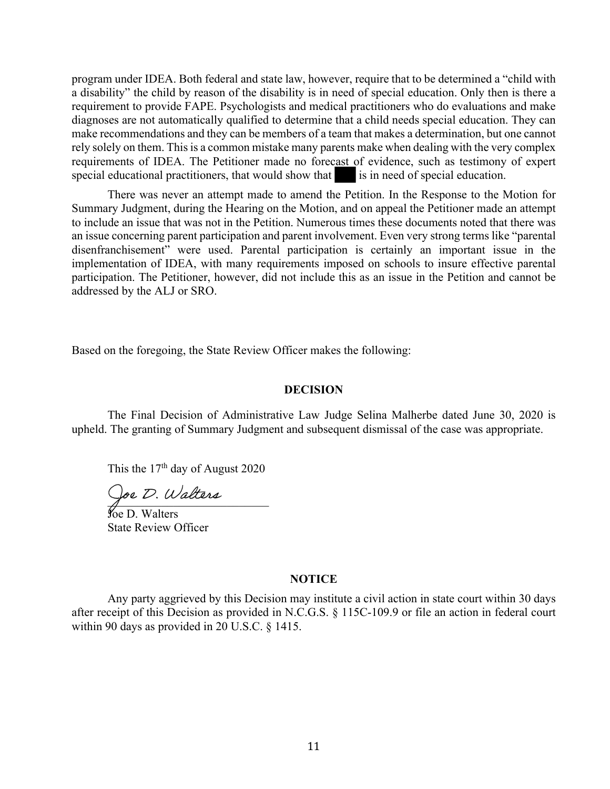program under IDEA. Both federal and state law, however, require that to be determined a "child with a disability" the child by reason of the disability is in need of special education. Only then is there a requirement to provide FAPE. Psychologists and medical practitioners who do evaluations and make diagnoses are not automatically qualified to determine that a child needs special education. They can make recommendations and they can be members of a team that makes a determination, but one cannot rely solely on them. This is a common mistake many parents make when dealing with the very complex requirements of IDEA. The Petitioner made no forecast of evidence, such as testimony of expert special educational practitioners, that would show that is in need of special education.

 There was never an attempt made to amend the Petition. In the Response to the Motion for Summary Judgment, during the Hearing on the Motion, and on appeal the Petitioner made an attempt to include an issue that was not in the Petition. Numerous times these documents noted that there was an issue concerning parent participation and parent involvement. Even very strong terms like "parental disenfranchisement" were used. Parental participation is certainly an important issue in the implementation of IDEA, with many requirements imposed on schools to insure effective parental participation. The Petitioner, however, did not include this as an issue in the Petition and cannot be addressed by the ALJ or SRO.

Based on the foregoing, the State Review Officer makes the following:

#### **DECISION**

 The Final Decision of Administrative Law Judge Selina Malherbe dated June 30, 2020 is upheld. The granting of Summary Judgment and subsequent dismissal of the case was appropriate.

This the  $17<sup>th</sup>$  day of August 2020

 $\bigvee_{\mathcal{P}}$ e  $\mathcal{V}$ . Watchers

Joe D. Walters State Review Officer

#### **NOTICE**

Any party aggrieved by this Decision may institute a civil action in state court within 30 days after receipt of this Decision as provided in N.C.G.S. § 115C-109.9 or file an action in federal court within 90 days as provided in 20 U.S.C. § 1415.